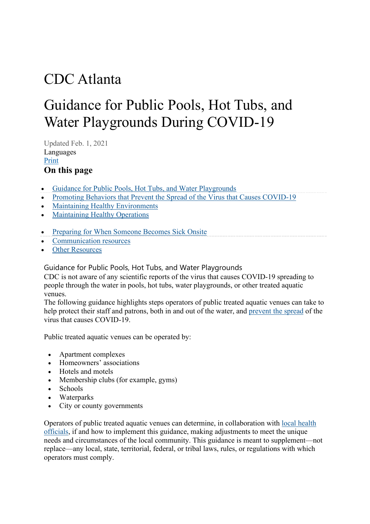# CDC Atlanta

# Guidance for Public Pools, Hot Tubs, and Water Playgrounds During COVID-19

Updated Feb. 1, 2021 Languages [Print](https://www.cdc.gov/coronavirus/2019-ncov/community/parks-rec/aquatic-venues.html#print) **On this page**

- [Guidance for Public Pools, Hot Tubs, and Water Playgrounds](https://www.cdc.gov/coronavirus/2019-ncov/community/parks-rec/aquatic-venues.html#anchor_1612214349775)
- [Promoting Behaviors that Prevent the Spread of the Virus that Causes COVID-19](https://www.cdc.gov/coronavirus/2019-ncov/community/parks-rec/aquatic-venues.html#anchor_1612217396639)
- [Maintaining Healthy Environments](https://www.cdc.gov/coronavirus/2019-ncov/community/parks-rec/aquatic-venues.html#anchor_1612217439337)
- [Maintaining Healthy Operations](https://www.cdc.gov/coronavirus/2019-ncov/community/parks-rec/aquatic-venues.html#anchor_1612217464321)
- [Preparing for When Someone Becomes Sick Onsite](https://www.cdc.gov/coronavirus/2019-ncov/community/parks-rec/aquatic-venues.html#anchor_1612217486094)
- [Communication resources](https://www.cdc.gov/coronavirus/2019-ncov/community/parks-rec/aquatic-venues.html#anchor_1591737867)
- **[Other Resources](https://www.cdc.gov/coronavirus/2019-ncov/community/parks-rec/aquatic-venues.html#anchor_1591737794)**

Guidance for Public Pools, Hot Tubs, and Water Playgrounds

CDC is not aware of any scientific reports of the virus that causes COVID-19 spreading to people through the water in pools, hot tubs, water playgrounds, or other treated aquatic venues.

The following guidance highlights steps operators of public treated aquatic venues can take to help protect their staff and patrons, both in and out of the water, and [prevent the spread](https://www.cdc.gov/coronavirus/2019-ncov/prevent-getting-sick/index.html) of the virus that causes COVID-19.

Public treated aquatic venues can be operated by:

- Apartment complexes
- Homeowners' associations
- Hotels and motels
- Membership clubs (for example, gyms)
- Schools
- Waterparks
- City or county governments

Operators of public treated aquatic venues can determine, in collaboration with [local health](https://www.cdc.gov/publichealthgateway/healthdirectories/index.html)  [officials,](https://www.cdc.gov/publichealthgateway/healthdirectories/index.html) if and how to implement this guidance, making adjustments to meet the unique needs and circumstances of the local community. This guidance is meant to supplement—not replace—any local, state, territorial, federal, or tribal laws, rules, or regulations with which operators must comply.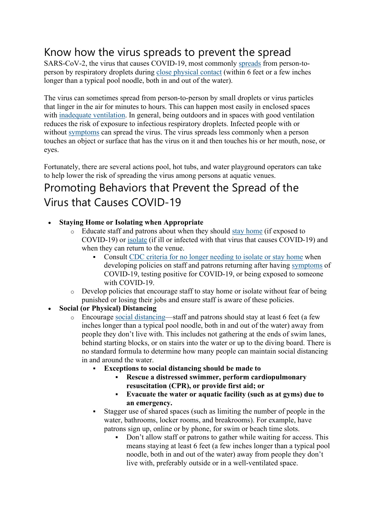## Know how the virus spreads to prevent the spread

SARS-CoV-2, the virus that causes COVID-19, most commonly [spreads](https://www.cdc.gov/coronavirus/2019-ncov/prevent-getting-sick/how-covid-spreads.html) from person-toperson by respiratory droplets during [close physical contact](https://www.cdc.gov/coronavirus/2019-ncov/php/contact-tracing/contact-tracing-plan/appendix.html#contact) (within 6 feet or a few inches longer than a typical pool noodle, both in and out of the water).

The virus can sometimes spread from person-to-person by small droplets or virus particles that linger in the air for minutes to hours. This can happen most easily in enclosed spaces with [inadequate ventilation.](https://www.cdc.gov/coronavirus/2019-ncov/community/ventilation.html) In general, being outdoors and in spaces with good ventilation reduces the risk of exposure to infectious respiratory droplets. Infected people with or without [symptoms](https://www.cdc.gov/coronavirus/2019-ncov/symptoms-testing/symptoms.html) can spread the virus. The virus spreads less commonly when a person touches an object or surface that has the virus on it and then touches his or her mouth, nose, or eyes.

Fortunately, there are several actions pool, hot tubs, and water playground operators can take to help lower the risk of spreading the virus among persons at aquatic venues.

## Promoting Behaviors that Prevent the Spread of the Virus that Causes COVID-19

#### • **Staying Home or Isolating when Appropriate**

- o Educate staff and patrons about when they should [stay home](https://www.cdc.gov/coronavirus/2019-ncov/if-you-are-sick/quarantine.html) (if exposed to COVID-19) or [isolate](https://www.cdc.gov/coronavirus/2019-ncov/if-you-are-sick/isolation.html) (if ill or infected with that virus that causes COVID-19) and when they can return to the venue.
	- Consult [CDC criteria for no longer needing to isolate or stay home](https://www.cdc.gov/coronavirus/2019-ncov/if-you-are-sick/end-home-isolation.html) when developing policies on staff and patrons returning after having [symptoms](https://www.cdc.gov/coronavirus/2019-ncov/symptoms-testing/symptoms.html) of COVID-19, testing positive for COVID-19, or being exposed to someone with COVID-19.
- Develop policies that encourage staff to stay home or isolate without fear of being punished or losing their jobs and ensure staff is aware of these policies.
- **Social (or Physical) Distancing**
	- o Encourage [social distancing—](https://www.cdc.gov/coronavirus/2019-ncov/prevent-getting-sick/social-distancing.html)staff and patrons should stay at least 6 feet (a few inches longer than a typical pool noodle, both in and out of the water) away from people they don't live with. This includes not gathering at the ends of swim lanes, behind starting blocks, or on stairs into the water or up to the diving board. There is no standard formula to determine how many people can maintain social distancing in and around the water.
		- **Exceptions to social distancing should be made to**
			- **Rescue a distressed swimmer, perform cardiopulmonary resuscitation (CPR), or provide first aid; or**
			- **Evacuate the water or aquatic facility (such as at gyms) due to an emergency.**
		- Stagger use of shared spaces (such as limiting the number of people in the water, bathrooms, locker rooms, and breakrooms). For example, have patrons sign up, online or by phone, for swim or beach time slots.
			- Don't allow staff or patrons to gather while waiting for access. This means staying at least 6 feet (a few inches longer than a typical pool noodle, both in and out of the water) away from people they don't live with, preferably outside or in a well-ventilated space.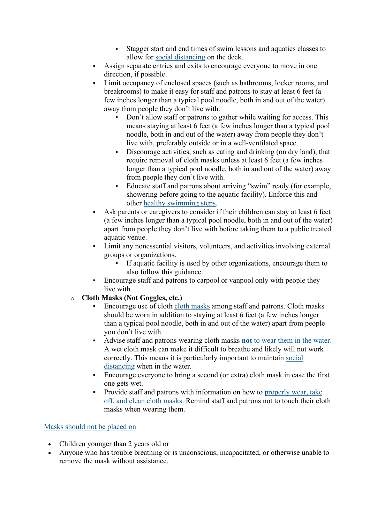- Stagger start and end times of swim lessons and aquatics classes to allow for [social distancing](https://www.cdc.gov/coronavirus/2019-ncov/prevent-getting-sick/social-distancing.html) on the deck.
- Assign separate entries and exits to encourage everyone to move in one direction, if possible.
- Limit occupancy of enclosed spaces (such as bathrooms, locker rooms, and breakrooms) to make it easy for staff and patrons to stay at least 6 feet (a few inches longer than a typical pool noodle, both in and out of the water) away from people they don't live with.
	- Don't allow staff or patrons to gather while waiting for access. This means staying at least 6 feet (a few inches longer than a typical pool noodle, both in and out of the water) away from people they don't live with, preferably outside or in a well-ventilated space.
	- Discourage activities, such as eating and drinking (on dry land), that require removal of cloth masks unless at least 6 feet (a few inches longer than a typical pool noodle, both in and out of the water) away from people they don't live with.
	- Educate staff and patrons about arriving "swim" ready (for example, showering before going to the aquatic facility). Enforce this and other [healthy swimming steps.](https://www.cdc.gov/healthywater/swimming/swimmers/steps-healthy-swimming.html)
- Ask parents or caregivers to consider if their children can stay at least 6 feet (a few inches longer than a typical pool noodle, both in and out of the water) apart from people they don't live with before taking them to a public treated aquatic venue.
- Limit any nonessential visitors, volunteers, and activities involving external groups or organizations.
	- If aquatic facility is used by other organizations, encourage them to also follow this guidance.
- Encourage staff and patrons to carpool or vanpool only with people they live with.
- o **Cloth Masks (Not Goggles, etc.)**
	- Encourage use of cloth [cloth masks](https://www.cdc.gov/coronavirus/2019-ncov/prevent-getting-sick/diy-cloth-face-coverings.html) among staff and patrons. Cloth masks should be worn in addition to staying at least 6 feet (a few inches longer than a typical pool noodle, both in and out of the water) apart from people you don't live with.
	- Advise staff and patrons wearing cloth masks **not** [to wear them in the water.](https://www.cdc.gov/coronavirus/2019-ncov/prevent-getting-sick/cloth-face-cover-guidance.html#:%7E:text=Do%20not%20wear%20a%20mask,work%20as%20well%20when%20wet.) A wet cloth mask can make it difficult to breathe and likely will not work correctly. This means it is particularly important to maintain [social](https://www.cdc.gov/coronavirus/2019-ncov/prevent-getting-sick/social-distancing.html)  [distancing](https://www.cdc.gov/coronavirus/2019-ncov/prevent-getting-sick/social-distancing.html) when in the water.
	- Encourage everyone to bring a second (or extra) cloth mask in case the first one gets wet.
	- Provide staff and patrons with information on how to properly wear, take [off, and clean cloth masks.](https://www.cdc.gov/coronavirus/2019-ncov/prevent-getting-sick/about-face-coverings.html) Remind staff and patrons not to touch their cloth masks when wearing them.

#### [Masks should not be placed on](https://www.cdc.gov/coronavirus/2019-ncov/prevent-getting-sick/cloth-face-cover-guidance.html)

- Children younger than 2 years old or
- Anyone who has trouble breathing or is unconscious, incapacitated, or otherwise unable to remove the mask without assistance.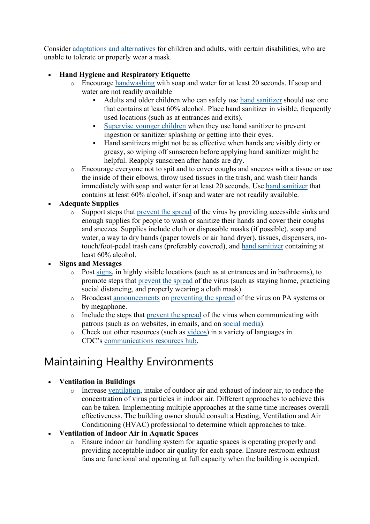Consider [adaptations and alternatives](https://www.cdc.gov/coronavirus/2019-ncov/prevent-getting-sick/cloth-face-cover-guidance.html#mask-adaptations-alternatives) for children and adults, with certain disabilities, who are unable to tolerate or properly wear a mask.

#### • **Hand Hygiene and Respiratory Etiquette**

- o Encourage [handwashing](https://www.cdc.gov/handwashing/when-how-handwashing.html) with soap and water for at least 20 seconds. If soap and water are not readily available
	- Adults and older children who can safely use [hand sanitizer](https://www.cdc.gov/coronavirus/2019-ncov/prevent-getting-sick/hand-sanitizer.html) should use one that contains at least 60% alcohol. Place hand sanitizer in visible, frequently used locations (such as at entrances and exits).
	- [Supervise younger children](https://www.cdc.gov/coronavirus/2019-ncov/community/schools-childcare/guidance-for-childcare.html) when they use hand sanitizer to prevent ingestion or sanitizer splashing or getting into their eyes.
	- Hand sanitizers might not be as effective when hands are visibly dirty or greasy, so wiping off sunscreen before applying hand sanitizer might be helpful. Reapply sunscreen after hands are dry.
- o Encourage everyone not to spit and to cover coughs and sneezes with a tissue or use the inside of their elbows, throw used tissues in the trash, and wash their hands immediately with soap and water for at least 20 seconds. Use [hand sanitizer](https://www.cdc.gov/coronavirus/2019-ncov/prevent-getting-sick/hand-sanitizer.html) that contains at least 60% alcohol, if soap and water are not readily available.

#### • **Adequate Supplies**

o Support steps that [prevent the spread](https://www.cdc.gov/coronavirus/2019-ncov/prevent-getting-sick/index.html) of the virus by providing accessible sinks and enough supplies for people to wash or sanitize their hands and cover their coughs and sneezes. Supplies include cloth or disposable masks (if possible), soap and water, a way to dry hands (paper towels or air hand dryer), tissues, dispensers, notouch/foot-pedal trash cans (preferably covered), and [hand sanitizer](https://www.cdc.gov/coronavirus/2019-ncov/prevent-getting-sick/hand-sanitizer.html) containing at least 60% alcohol.

#### • **Signs and Messages**

- o Post [signs,](https://www.cdc.gov/coronavirus/2019-ncov/communication/print-resources.html?Sort=Date%3A%3Adesc) in highly visible locations (such as at entrances and in bathrooms), to promote steps that [prevent the spread](https://www.cdc.gov/coronavirus/2019-ncov/prevent-getting-sick/index.html) of the virus (such as staying home, practicing social distancing, and properly wearing a cloth mask).
- o Broadcast [announcements](https://www.cdc.gov/coronavirus/2019-ncov/communication/public-service-announcements.html) on [preventing the spread](https://www.cdc.gov/coronavirus/2019-ncov/prevent-getting-sick/index.html) of the virus on PA systems or by megaphone.
- o Include the steps that [prevent the spread](https://www.cdc.gov/coronavirus/2019-ncov/prevent-getting-sick/index.html) of the virus when communicating with patrons (such as on websites, in emails, and on [social media\)](https://www.cdc.gov/coronavirus/2019-ncov/communication/social-media-toolkit.html).
- o Check out other resources (such as [videos\)](https://www.cdc.gov/coronavirus/2019-ncov/communication/videos.html) in a variety of languages in CDC's [communications resources hub.](https://www.cdc.gov/coronavirus/2019-ncov/communication/index.html)

## Maintaining Healthy Environments

#### • **Ventilation in Buildings**

o Increase [ventilation,](https://www.cdc.gov/coronavirus/2019-ncov/community/ventilation.html) intake of outdoor air and exhaust of indoor air, to reduce the concentration of virus particles in indoor air. Different approaches to achieve this can be taken. Implementing multiple approaches at the same time increases overall effectiveness. The building owner should consult a Heating, Ventilation and Air Conditioning (HVAC) professional to determine which approaches to take.

#### • **Ventilation of Indoor Air in Aquatic Spaces**

o Ensure indoor air handling system for aquatic spaces is operating properly and providing acceptable indoor air quality for each space. Ensure restroom exhaust fans are functional and operating at full capacity when the building is occupied.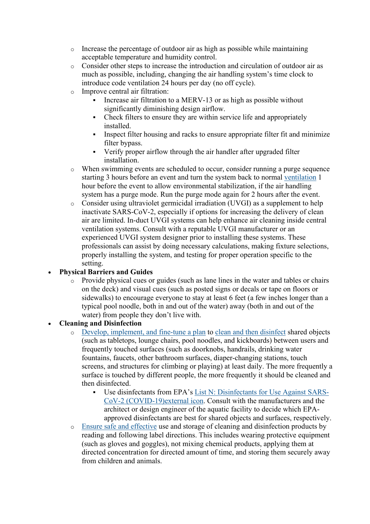- $\circ$  Increase the percentage of outdoor air as high as possible while maintaining acceptable temperature and humidity control.
- o Consider other steps to increase the introduction and circulation of outdoor air as much as possible, including, changing the air handling system's time clock to introduce code ventilation 24 hours per day (no off cycle).
- o Improve central air filtration:
	- Increase air filtration to a MERV-13 or as high as possible without significantly diminishing design airflow.
	- Check filters to ensure they are within service life and appropriately installed.
	- Inspect filter housing and racks to ensure appropriate filter fit and minimize filter bypass.
	- Verify proper airflow through the air handler after upgraded filter installation.
- o When swimming events are scheduled to occur, consider running a purge sequence starting 3 hours before an event and turn the system back to normal [ventilation](https://www.cdc.gov/coronavirus/2019-ncov/community/ventilation.html) 1 hour before the event to allow environmental stabilization, if the air handling system has a purge mode. Run the purge mode again for 2 hours after the event.
- o Consider using ultraviolet germicidal irradiation (UVGI) as a supplement to help inactivate SARS-CoV-2, especially if options for increasing the delivery of clean air are limited. In-duct UVGI systems can help enhance air cleaning inside central ventilation systems. Consult with a reputable UVGI manufacturer or an experienced UVGI system designer prior to installing these systems. These professionals can assist by doing necessary calculations, making fixture selections, properly installing the system, and testing for proper operation specific to the setting.

#### • **Physical Barriers and Guides**

o Provide physical cues or guides (such as lane lines in the water and tables or chairs on the deck) and visual cues (such as posted signs or decals or tape on floors or sidewalks) to encourage everyone to stay at least 6 feet (a few inches longer than a typical pool noodle, both in and out of the water) away (both in and out of the water) from people they don't live with.

#### • **Cleaning and Disinfection**

- o [Develop, implement, and fine-tune a plan](https://www.cdc.gov/coronavirus/2019-ncov/community/reopen-guidance.html) to [clean and then disinfect](https://www.cdc.gov/coronavirus/2019-ncov/community/disinfecting-building-facility.html) shared objects (such as tabletops, lounge chairs, pool noodles, and kickboards) between users and frequently touched surfaces (such as doorknobs, handrails, drinking water fountains, faucets, other bathroom surfaces, diaper-changing stations, touch screens, and structures for climbing or playing) at least daily. The more frequently a surface is touched by different people, the more frequently it should be cleaned and then disinfected.
	- Use disinfectants from EPA's [List N: Disinfectants for Use Against SARS-](https://www.epa.gov/pesticide-registration/list-n-disinfectants-use-against-sars-cov-2)[CoV-2 \(COVID-19\)external](https://www.epa.gov/pesticide-registration/list-n-disinfectants-use-against-sars-cov-2) icon. Consult with the manufacturers and the architect or design engineer of the aquatic facility to decide which EPAapproved disinfectants are best for shared objects and surfaces, respectively.
- o Ensure [safe and effective](https://www.cdc.gov/coronavirus/2019-ncov/community/reopen-guidance.html) use and storage of cleaning and disinfection products by reading and following label directions. This includes wearing protective equipment (such as gloves and goggles), not mixing chemical products, applying them at directed concentration for directed amount of time, and storing them securely away from children and animals.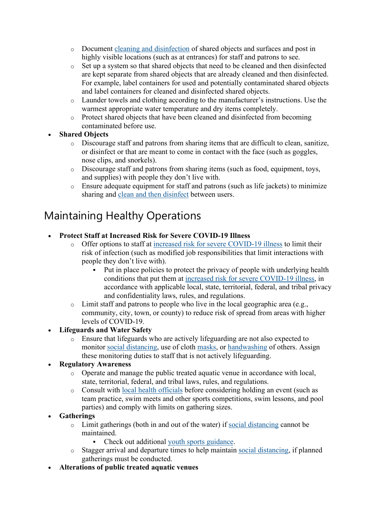- o Document [cleaning and disinfection](https://www.cdc.gov/coronavirus/2019-ncov/community/clean-disinfect/index.html) of shared objects and surfaces and post in highly visible locations (such as at entrances) for staff and patrons to see.
- o Set up a system so that shared objects that need to be cleaned and then disinfected are kept separate from shared objects that are already cleaned and then disinfected. For example, label containers for used and potentially contaminated shared objects and label containers for cleaned and disinfected shared objects.
- o Launder towels and clothing according to the manufacturer's instructions. Use the warmest appropriate water temperature and dry items completely.
- o Protect shared objects that have been cleaned and disinfected from becoming contaminated before use.

#### • **Shared Objects**

- o Discourage staff and patrons from sharing items that are difficult to clean, sanitize, or disinfect or that are meant to come in contact with the face (such as goggles, nose clips, and snorkels).
- o Discourage staff and patrons from sharing items (such as food, equipment, toys, and supplies) with people they don't live with.
- o Ensure adequate equipment for staff and patrons (such as life jackets) to minimize sharing and [clean and then disinfect](https://www.cdc.gov/coronavirus/2019-ncov/community/disinfecting-building-facility.html) between users.

## Maintaining Healthy Operations

#### • **Protect Staff at Increased Risk for Severe COVID-19 Illness**

- Offer options to staff at [increased risk for severe COVID-19 illness](https://www.cdc.gov/coronavirus/2019-ncov/need-extra-precautions/people-at-increased-risk.html) to limit their risk of infection (such as modified job responsibilities that limit interactions with people they don't live with).
	- Put in place policies to protect the privacy of people with underlying health conditions that put them at [increased risk for severe COVID-19 illness,](https://www.cdc.gov/coronavirus/2019-ncov/need-extra-precautions/people-at-increased-risk.html) in accordance with applicable local, state, territorial, federal, and tribal privacy and confidentiality laws, rules, and regulations.
- $\circ$  Limit staff and patrons to people who live in the local geographic area (e.g., community, city, town, or county) to reduce risk of spread from areas with higher levels of COVID-19.

#### • **Lifeguards and Water Safety**

o Ensure that lifeguards who are actively lifeguarding are not also expected to monitor [social distancing,](https://www.cdc.gov/coronavirus/2019-ncov/prevent-getting-sick/social-distancing.html) use of cloth [masks,](https://www.cdc.gov/coronavirus/2019-ncov/prevent-getting-sick/diy-cloth-face-coverings.html) or [handwashing](https://www.cdc.gov/handwashing/when-how-handwashing.html) of others. Assign these monitoring duties to staff that is not actively lifeguarding.

#### • **Regulatory Awareness**

- o Operate and manage the public treated aquatic venue in accordance with local, state, territorial, federal, and tribal laws, rules, and regulations.
- o Consult with [local health officials](https://www.cdc.gov/publichealthgateway/healthdirectories/index.html) before considering holding an event (such as team practice, swim meets and other sports competitions, swim lessons, and pool parties) and comply with limits on gathering sizes.

#### • **Gatherings**

- o Limit gatherings (both in and out of the water) if [social distancing](https://www.cdc.gov/coronavirus/2019-ncov/prevent-getting-sick/social-distancing.html) cannot be maintained.
	- Check out additional [youth sports guidance.](https://www.cdc.gov/coronavirus/2019-ncov/community/schools-childcare/youth-sports.html)
- Stagger arrival and departure times to help maintain [social distancing,](https://www.cdc.gov/coronavirus/2019-ncov/prevent-getting-sick/social-distancing.html) if planned gatherings must be conducted.
- **Alterations of public treated aquatic venues**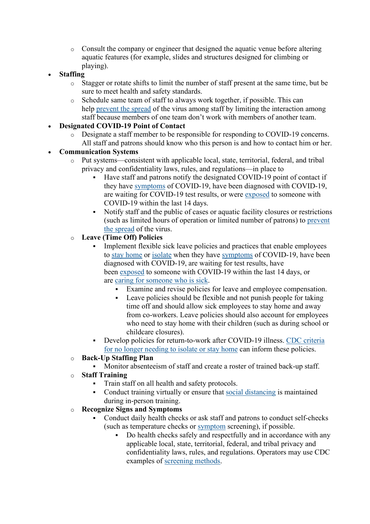- o Consult the company or engineer that designed the aquatic venue before altering aquatic features (for example, slides and structures designed for climbing or playing).
- **Staffing**
	- o Stagger or rotate shifts to limit the number of staff present at the same time, but be sure to meet health and safety standards.
	- o Schedule same team of staff to always work together, if possible. This can help [prevent the spread](https://www.cdc.gov/coronavirus/2019-ncov/prevent-getting-sick/index.html) of the virus among staff by limiting the interaction among staff because members of one team don't work with members of another team.
- **Designated COVID-19 Point of Contact**
	- o Designate a staff member to be responsible for responding to COVID-19 concerns. All staff and patrons should know who this person is and how to contact him or her.

#### • **Communication Systems**

- o Put systems—consistent with applicable local, state, territorial, federal, and tribal privacy and confidentiality laws, rules, and regulations—in place to
	- Have staff and patrons notify the designated COVID-19 point of contact if they have [symptoms](https://www.cdc.gov/coronavirus/2019-ncov/symptoms-testing/symptoms.html) of COVID-19, have been diagnosed with COVID-19, are waiting for COVID-19 test results, or were [exposed](https://www.cdc.gov/coronavirus/2019-ncov/php/public-health-recommendations.html) to someone with COVID-19 within the last 14 days.
	- Notify staff and the public of cases or aquatic facility closures or restrictions (such as limited hours of operation or limited number of patrons) to [prevent](https://www.cdc.gov/coronavirus/2019-ncov/prevent-getting-sick/index.html)  [the spread](https://www.cdc.gov/coronavirus/2019-ncov/prevent-getting-sick/index.html) of the virus.

#### o **Leave (Time Off) Policies**

- Implement flexible sick leave policies and practices that enable employees to [stay home](https://www.cdc.gov/coronavirus/2019-ncov/if-you-are-sick/quarantine.html) or [isolate](https://www.cdc.gov/coronavirus/2019-ncov/if-you-are-sick/isolation.html) when they have [symptoms](https://www.cdc.gov/coronavirus/2019-ncov/symptoms-testing/symptoms.html) of COVID-19, have been diagnosed with COVID-19, are waiting for test results, have been [exposed](https://www.cdc.gov/coronavirus/2019-ncov/php/public-health-recommendations.html) to someone with COVID-19 within the last 14 days, or are [caring for someone who is sick.](https://www.cdc.gov/coronavirus/2019-ncov/if-you-are-sick/care-for-someone.html)
	- Examine and revise policies for leave and employee compensation.
	- Leave policies should be flexible and not punish people for taking time off and should allow sick employees to stay home and away from co-workers. Leave policies should also account for employees who need to stay home with their children (such as during school or childcare closures).
- Develop policies for return-to-work after COVID-19 illness. [CDC criteria](https://www.cdc.gov/coronavirus/2019-ncov/if-you-are-sick/end-home-isolation.html)  [for no longer needing to isolate or stay home](https://www.cdc.gov/coronavirus/2019-ncov/if-you-are-sick/end-home-isolation.html) can inform these policies.
- o **Back-Up Staffing Plan**
	- Monitor absenteeism of staff and create a roster of trained back-up staff.
- o **Staff Training**
	- Train staff on all health and safety protocols.
	- Conduct training virtually or ensure that [social distancing](https://www.cdc.gov/coronavirus/2019-ncov/prevent-getting-sick/social-distancing.html) is maintained during in-person training.

#### o **Recognize Signs and Symptoms**

- Conduct daily health checks or ask staff and patrons to conduct self-checks (such as temperature checks or [symptom](https://www.cdc.gov/coronavirus/2019-ncov/symptoms-testing/symptoms.html) screening), if possible.
	- Do health checks safely and respectfully and in accordance with any applicable local, state, territorial, federal, and tribal privacy and confidentiality laws, rules, and regulations. Operators may use CDC examples of [screening methods.](https://www.cdc.gov/coronavirus/2019-ncov/community/guidance-business-response.html#anchor_1609683211941)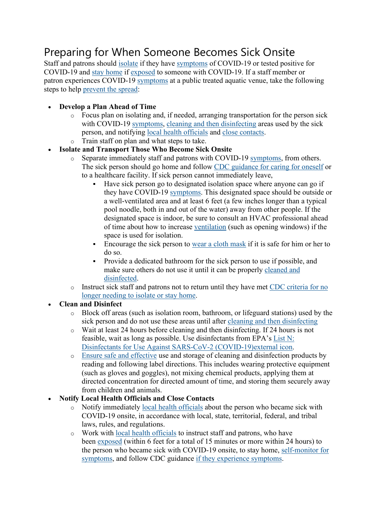## Preparing for When Someone Becomes Sick Onsite

Staff and patrons should [isolate](https://www.cdc.gov/coronavirus/2019-ncov/if-you-are-sick/isolation.html) if they have [symptoms](https://www.cdc.gov/coronavirus/2019-ncov/symptoms-testing/symptoms.html) of COVID-19 or tested positive for COVID-19 and [stay home](https://www.cdc.gov/coronavirus/2019-ncov/if-you-are-sick/quarantine.html) if [exposed](https://www.cdc.gov/coronavirus/2019-ncov/if-you-are-sick/quarantine.html) to someone with COVID-19. If a staff member or patron experiences COVID-19 [symptoms](https://www.cdc.gov/coronavirus/2019-ncov/symptoms-testing/symptoms.html) at a public treated aquatic venue, take the following steps to help [prevent the spread:](https://www.cdc.gov/coronavirus/2019-ncov/prevent-getting-sick/index.html)

- **Develop a Plan Ahead of Time**
	- $\circ$  Focus plan on isolating and, if needed, arranging transportation for the person sick with COVID-19 [symptoms,](https://www.cdc.gov/coronavirus/2019-ncov/symptoms-testing/symptoms.html) [cleaning and then disinfecting](https://www.cdc.gov/coronavirus/2019-ncov/community/disinfecting-building-facility.html) areas used by the sick person, and notifying [local health officials](https://www.cdc.gov/publichealthgateway/healthdirectories/index.html) and [close contacts.](https://www.cdc.gov/coronavirus/2019-ncov/php/contact-tracing/contact-tracing-plan/appendix.html#contact)
	- Train staff on plan and what steps to take.
- **Isolate and Transport Those Who Become Sick Onsite**
	- o Separate immediately staff and patrons with COVID-19 [symptoms,](https://www.cdc.gov/coronavirus/2019-ncov/symptoms-testing/symptoms.html) from others. The sick person should go home and follow [CDC guidance for caring for oneself](https://www.cdc.gov/coronavirus/2019-ncov/if-you-are-sick/steps-when-sick.html) or to a healthcare facility. If sick person cannot immediately leave,
		- Have sick person go to designated isolation space where anyone can go if they have COVID-19 [symptoms.](https://www.cdc.gov/coronavirus/2019-ncov/symptoms-testing/symptoms.html) This designated space should be outside or a well-ventilated area and at least 6 feet (a few inches longer than a typical pool noodle, both in and out of the water) away from other people. If the designated space is indoor, be sure to consult an HVAC professional ahead of time about how to increase [ventilation](https://www.cdc.gov/coronavirus/2019-ncov/community/ventilation.html) (such as opening windows) if the space is used for isolation.
		- Encourage the sick person to [wear a cloth mask](https://www.cdc.gov/coronavirus/2019-ncov/prevent-getting-sick/how-to-wear-cloth-face-coverings.html) if it is safe for him or her to do so.
		- Provide a dedicated bathroom for the sick person to use if possible, and make sure others do not use it until it can be properly [cleaned and](https://www.cdc.gov/coronavirus/2019-ncov/community/reopen-guidance.html)  [disinfected.](https://www.cdc.gov/coronavirus/2019-ncov/community/reopen-guidance.html)
	- o Instruct sick staff and patrons not to return until they have met [CDC criteria for no](https://www.cdc.gov/coronavirus/2019-ncov/if-you-are-sick/end-home-isolation.html)  [longer needing to isolate or stay home.](https://www.cdc.gov/coronavirus/2019-ncov/if-you-are-sick/end-home-isolation.html)

#### • **Clean and Disinfect**

- o Block off areas (such as isolation room, bathroom, or lifeguard stations) used by the sick person and do not use these areas until after [cleaning and then disinfecting](https://www.cdc.gov/coronavirus/2019-ncov/community/disinfecting-building-facility.html)
- o Wait at least 24 hours before cleaning and then disinfecting. If 24 hours is not feasible, wait as long as possible. Use disinfectants from EPA's [List N:](https://www.epa.gov/pesticide-registration/list-n-disinfectants-use-against-sars-cov-2)  Disinfectants for [Use Against SARS-CoV-2 \(COVID-19\)external](https://www.epa.gov/pesticide-registration/list-n-disinfectants-use-against-sars-cov-2) icon.
- o Ensure [safe and effective](https://www.cdc.gov/coronavirus/2019-ncov/community/reopen-guidance.html) use and storage of cleaning and disinfection products by reading and following label directions. This includes wearing protective equipment (such as gloves and goggles), not mixing chemical products, applying them at directed concentration for directed amount of time, and storing them securely away from children and animals.
- **Notify Local Health Officials and Close Contacts**
	- o Notify immediately [local health officials](https://www.cdc.gov/publichealthgateway/healthdirectories/index.html) about the person who became sick with COVID-19 onsite, in accordance with local, state, territorial, federal, and tribal laws, rules, and regulations.
	- o Work with [local health officials](https://www.cdc.gov/publichealthgateway/healthdirectories/index.html) to instruct staff and patrons, who have been [exposed](https://www.cdc.gov/coronavirus/2019-ncov/php/public-health-recommendations.html) (within 6 feet for a total of 15 minutes or more within 24 hours) to the person who became sick with COVID-19 onsite, to stay home, [self-monitor for](https://www.cdc.gov/coronavirus/2019-ncov/symptoms-testing/symptoms.html)  [symptoms,](https://www.cdc.gov/coronavirus/2019-ncov/symptoms-testing/symptoms.html) and follow CDC guidance [if they experience symptoms.](https://www.cdc.gov/coronavirus/2019-ncov/if-you-are-sick/steps-when-sick.html)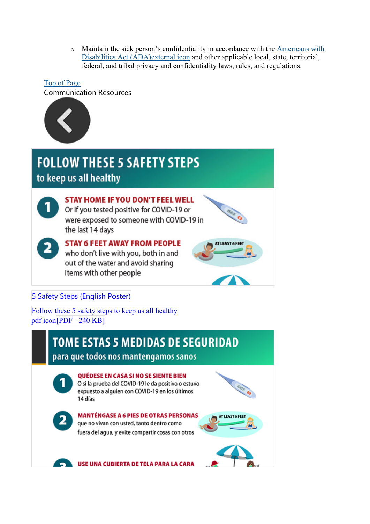$\circ$  Maintain the sick person's confidentiality in accordance with the Americans with [Disabilities Act \(ADA\)external](https://www.eeoc.gov/facts/pandemic_flu.html) icon and other applicable local, state, territorial, federal, and tribal privacy and confidentiality laws, rules, and regulations.

## [Top of Page](https://www.cdc.gov/coronavirus/2019-ncov/community/parks-rec/aquatic-venues.html) Communication Resources



## **FOLLOW THESE 5 SAFETY STEPS** to keep us all healthy



2

## **STAY HOME IF YOU DON'T FEEL WELL** Or if you tested positive for COVID-19 or

were exposed to someone with COVID-19 in the last 14 days

**STAY 6 FEET AWAY FROM PEOPLE** who don't live with you, both in and out of the water and avoid sharing items with other people



### [5 Safety](https://www.cdc.gov/coronavirus/2019-ncov/downloads/community/Aquatic-Venues-COVID19-Safety-Steps-Poster.pdf) Steps (English Poster)

[Follow these 5 safety steps to](https://www.cdc.gov/coronavirus/2019-ncov/downloads/community/Aquatic-Venues-COVID19-Safety-Steps-Poster.pdf) keep us all healthy [pdf icon\[PDF - 240 KB\]](https://www.cdc.gov/coronavirus/2019-ncov/downloads/community/Aquatic-Venues-COVID19-Safety-Steps-Poster.pdf)

## **TOME ESTAS 5 MEDIDAS DE SEGURIDAD**

### para que todos nos mantengamos sanos

#### **OUÉDESE EN CASA SI NO SE SIENTE BIEN**

O si la prueba del COVID-19 le da positivo o estuvo expuesto a alguien con COVID-19 en los últimos 14 días





**MANTÉNGASE A 6 PIES DE OTRAS PERSONAS** que no vivan con usted, tanto dentro como fuera del agua, y evite compartir cosas con otros



a an

USE UNA CUBIERTA DE TELA PARA LA CARA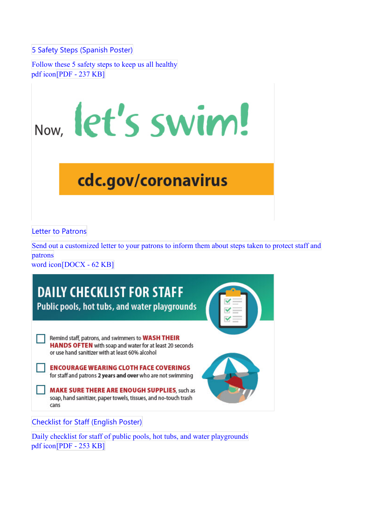5 Safety Steps [\(Spanish](https://www.cdc.gov/coronavirus/2019-ncov/downloads/community/Aquatic-Venues-COVID19-Safety-Steps-Poster-SP.pdf) Poster)

[Follow these 5 safety steps to](https://www.cdc.gov/coronavirus/2019-ncov/downloads/community/Aquatic-Venues-COVID19-Safety-Steps-Poster-SP.pdf) keep us all healthy [pdf icon\[PDF - 237 KB\]](https://www.cdc.gov/coronavirus/2019-ncov/downloads/community/Aquatic-Venues-COVID19-Safety-Steps-Poster-SP.pdf)



# cdc.gov/coronavirus

Letter to [Patrons](https://www.cdc.gov/coronavirus/2019-ncov/downloads/community/Aquatic-Venues-Letter-to-Patrons-formatted.docx)

Send out a customized letter [to your patrons to inform them about steps](https://www.cdc.gov/coronavirus/2019-ncov/downloads/community/Aquatic-Venues-Letter-to-Patrons-formatted.docx) taken to protect staff and [patrons](https://www.cdc.gov/coronavirus/2019-ncov/downloads/community/Aquatic-Venues-Letter-to-Patrons-formatted.docx) 

word [icon\[DOCX - 62 KB\]](https://www.cdc.gov/coronavirus/2019-ncov/downloads/community/Aquatic-Venues-Letter-to-Patrons-formatted.docx)



Daily checklist for staff [of public pools, hot tubs, and](https://www.cdc.gov/coronavirus/2019-ncov/downloads/community/Aquatic-Venues-COVID19-Daily-Checklist-for-staff.pdf) water playgrounds [pdf icon\[PDF - 253 KB\]](https://www.cdc.gov/coronavirus/2019-ncov/downloads/community/Aquatic-Venues-COVID19-Daily-Checklist-for-staff.pdf)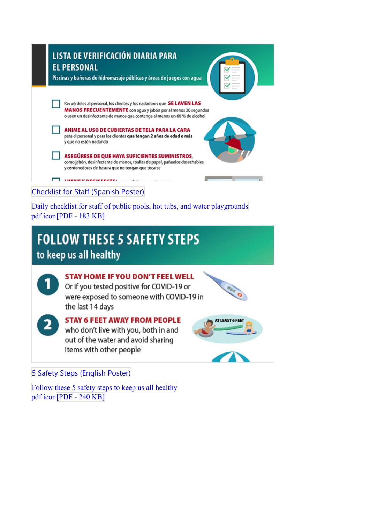

Daily checklist for staff [of public pools, hot tubs, and](https://www.cdc.gov/coronavirus/2019-ncov/downloads/community/Aquatic-Venues-COVID19-Daily-Checklist-for-Staff-SP.pdf) water playgrounds [pdf icon\[PDF - 183 KB\]](https://www.cdc.gov/coronavirus/2019-ncov/downloads/community/Aquatic-Venues-COVID19-Daily-Checklist-for-Staff-SP.pdf)

# **FOLLOW THESE 5 SAFETY STEPS** to keep us all healthy

**STAY HOME IF YOU DON'T FEEL WELL** Or if you tested positive for COVID-19 or were exposed to someone with COVID-19 in the last 14 days



#### **STAY 6 FEET AWAY FROM PEOPLE**

who don't live with you, both in and out of the water and avoid sharing items with other people





AT LEAST 6 FEET

[5 Safety](https://www.cdc.gov/coronavirus/2019-ncov/downloads/community/Aquatic-Venues-COVID19-Safety-Steps-Poster.pdf) Steps (English Poster)

[Follow these 5 safety steps to](https://www.cdc.gov/coronavirus/2019-ncov/downloads/community/Aquatic-Venues-COVID19-Safety-Steps-Poster.pdf) keep us all healthy [pdf icon\[PDF - 240 KB\]](https://www.cdc.gov/coronavirus/2019-ncov/downloads/community/Aquatic-Venues-COVID19-Safety-Steps-Poster.pdf)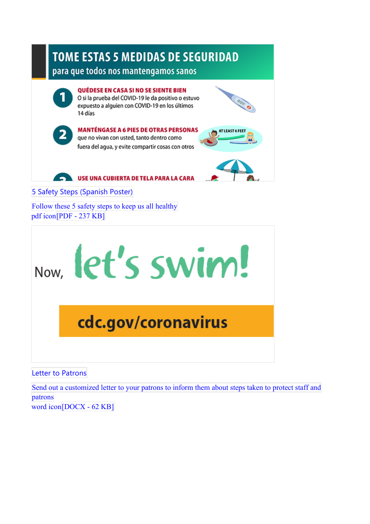

Letter to [Patrons](https://www.cdc.gov/coronavirus/2019-ncov/downloads/community/Aquatic-Venues-Letter-to-Patrons-formatted.docx)

Send out a customized letter [to your patrons to inform them about steps](https://www.cdc.gov/coronavirus/2019-ncov/downloads/community/Aquatic-Venues-Letter-to-Patrons-formatted.docx) taken to protect staff and [patrons](https://www.cdc.gov/coronavirus/2019-ncov/downloads/community/Aquatic-Venues-Letter-to-Patrons-formatted.docx) 

word [icon\[DOCX - 62 KB\]](https://www.cdc.gov/coronavirus/2019-ncov/downloads/community/Aquatic-Venues-Letter-to-Patrons-formatted.docx)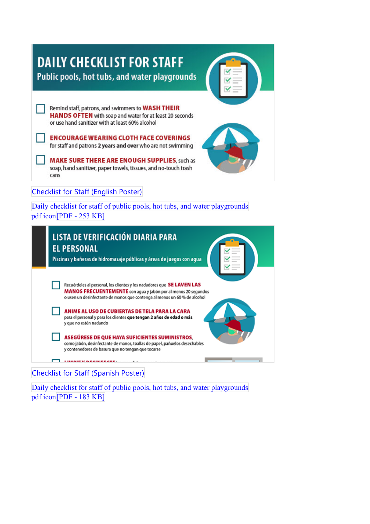| <b>DAILY CHECKLIST FOR STAFF</b><br>Public pools, hot tubs, and water playgrounds                                                                                                                                                                                                                                                                                                                  |
|----------------------------------------------------------------------------------------------------------------------------------------------------------------------------------------------------------------------------------------------------------------------------------------------------------------------------------------------------------------------------------------------------|
| Remind staff, patrons, and swimmers to WASH THEIR<br>HANDS OFTEN with soap and water for at least 20 seconds<br>or use hand sanitizer with at least 60% alcohol<br><b>ENCOURAGE WEARING CLOTH FACE COVERINGS</b><br>for staff and patrons 2 years and over who are not swimming<br>MAKE SURE THERE ARE ENOUGH SUPPLIES, such as<br>soap, hand sanitizer, paper towels, tissues, and no-touch trash |
| cans<br><b>Checklist for Staff (English Poster)</b><br>Daily checklist for staff of public pools, hot tubs, and water playgrounds<br>pdf icon[PDF - 253 KB]                                                                                                                                                                                                                                        |
| LISTA DE VERIFICACIÓN DIARIA PARA<br><b>EL PERSONAL</b><br>Piscinas y bañeras de hidromasaje públicas y áreas de juegos con agua                                                                                                                                                                                                                                                                   |
| Recuérdeles al personal, los clientes y los nadadores que SE LAVEN LAS<br>MANOS FRECUENTEMENTE con agua y jabón por al menos 20 segundos<br>o usen un desinfectante de manos que contenga al menos un 60 % de alcohol                                                                                                                                                                              |
| ANIME AL USO DE CUBIERTAS DE TELA PARA LA CARA<br>para el personal y para los clientes que tengan 2 años de edad o más<br>y que no estén nadando                                                                                                                                                                                                                                                   |
| ASEGÜRESE DE QUE HAYA SUFICIENTES SUMINISTROS,<br>como jabón, desinfectante de manos, toallas de papel, pañuelos desechables                                                                                                                                                                                                                                                                       |

[Checklist](https://www.cdc.gov/coronavirus/2019-ncov/downloads/community/Aquatic-Venues-COVID19-Daily-Checklist-for-Staff-SP.pdf) for Staff (Spanish Poster)

 $\Box$  THENEY NECHLECTED

y contenedores de basura que no tengan que tocarse

Daily checklist for staff [of public pools, hot tubs, and](https://www.cdc.gov/coronavirus/2019-ncov/downloads/community/Aquatic-Venues-COVID19-Daily-Checklist-for-Staff-SP.pdf) water playgrounds [pdf icon\[PDF - 183 KB\]](https://www.cdc.gov/coronavirus/2019-ncov/downloads/community/Aquatic-Venues-COVID19-Daily-Checklist-for-Staff-SP.pdf)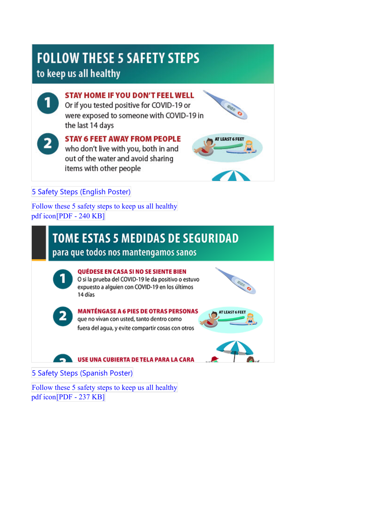# **FOLLOW THESE 5 SAFETY STEPS**

## to keep us all healthy

**STAY HOME IF YOU DON'T FEEL WELL** Or if you tested positive for COVID-19 or

were exposed to someone with COVID-19 in the last 14 days

# **STAY 6 FEET AWAY FROM PEOPLE**

who don't live with you, both in and out of the water and avoid sharing items with other people



### [5 Safety](https://www.cdc.gov/coronavirus/2019-ncov/downloads/community/Aquatic-Venues-COVID19-Safety-Steps-Poster.pdf) Steps (English Poster)

[Follow these 5 safety steps to](https://www.cdc.gov/coronavirus/2019-ncov/downloads/community/Aquatic-Venues-COVID19-Safety-Steps-Poster.pdf) keep us all healthy [pdf icon\[PDF - 240 KB\]](https://www.cdc.gov/coronavirus/2019-ncov/downloads/community/Aquatic-Venues-COVID19-Safety-Steps-Poster.pdf)

# **TOME ESTAS 5 MEDIDAS DE SEGURIDAD**

para que todos nos mantengamos sanos



2

#### **OUÉDESE EN CASA SI NO SE SIENTE BIEN**

O si la prueba del COVID-19 le da positivo o estuvo expuesto a alguien con COVID-19 en los últimos 14 días



#### **MANTÉNGASE A 6 PIES DE OTRAS PERSONAS** que no vivan con usted, tanto dentro como

fuera del agua, y evite compartir cosas con otros





5 Safety Steps [\(Spanish](https://www.cdc.gov/coronavirus/2019-ncov/downloads/community/Aquatic-Venues-COVID19-Safety-Steps-Poster-SP.pdf) Poster)

[Follow these 5 safety steps to](https://www.cdc.gov/coronavirus/2019-ncov/downloads/community/Aquatic-Venues-COVID19-Safety-Steps-Poster-SP.pdf) keep us all healthy [pdf icon\[PDF - 237 KB\]](https://www.cdc.gov/coronavirus/2019-ncov/downloads/community/Aquatic-Venues-COVID19-Safety-Steps-Poster-SP.pdf)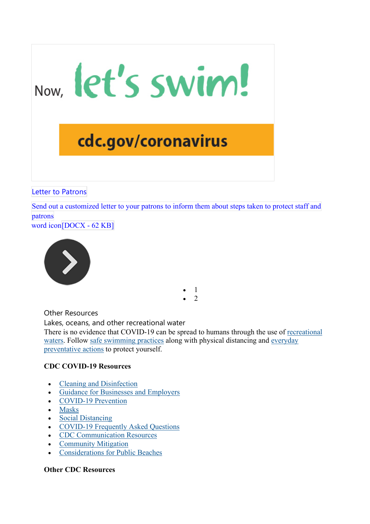cdc.gov/coronavirus

Now, let's swim!

Letter to [Patrons](https://www.cdc.gov/coronavirus/2019-ncov/downloads/community/Aquatic-Venues-Letter-to-Patrons-formatted.docx)

Send out a customized letter [to your patrons to inform them about steps](https://www.cdc.gov/coronavirus/2019-ncov/downloads/community/Aquatic-Venues-Letter-to-Patrons-formatted.docx) taken to protect staff and [patrons](https://www.cdc.gov/coronavirus/2019-ncov/downloads/community/Aquatic-Venues-Letter-to-Patrons-formatted.docx) 

word [icon\[DOCX - 62 KB\]](https://www.cdc.gov/coronavirus/2019-ncov/downloads/community/Aquatic-Venues-Letter-to-Patrons-formatted.docx)



Other Resources

Lakes, oceans, and other recreational water There is no evidence that COVID-19 can be spread to humans through the use of [recreational](https://www.cdc.gov/coronavirus/2019-ncov/faq.html#Water)  [waters.](https://www.cdc.gov/coronavirus/2019-ncov/faq.html#Water) Follow [safe swimming practices](https://www.cdc.gov/healthywater/swimming/index.html) along with physical distancing and [everyday](https://www.cdc.gov/coronavirus/2019-ncov/prevent-getting-sick/prevention.html)  [preventative actions](https://www.cdc.gov/coronavirus/2019-ncov/prevent-getting-sick/prevention.html) to protect yourself.

• 1  $\mathfrak{p}$ 

#### **CDC COVID-19 Resources**

- [Cleaning and Disinfection](https://www.cdc.gov/coronavirus/2019-ncov/community/reopen-guidance.html)
- [Guidance for Businesses and Employers](https://www.cdc.gov/coronavirus/2019-ncov/community/guidance-business-response.html)
- [COVID-19 Prevention](https://www.cdc.gov/coronavirus/2019-ncov/prevent-getting-sick/index.html)
- [Masks](https://www.cdc.gov/coronavirus/2019-ncov/prevent-getting-sick/diy-cloth-face-coverings.html)
- [Social Distancing](https://www.cdc.gov/coronavirus/2019-ncov/prevent-getting-sick/social-distancing.html)
- [COVID-19 Frequently Asked Questions](https://www.cdc.gov/coronavirus/2019-ncov/faq.html)
- [CDC Communication Resources](https://www.cdc.gov/coronavirus/2019-ncov/communication/index.html)
- **[Community Mitigation](https://www.cdc.gov/coronavirus/2019-ncov/php/open-america/community-mitigation.html)**
- [Considerations for Public Beaches](https://www.cdc.gov/coronavirus/2019-ncov/community/parks-rec/public-beaches.html)

#### **Other CDC Resources**